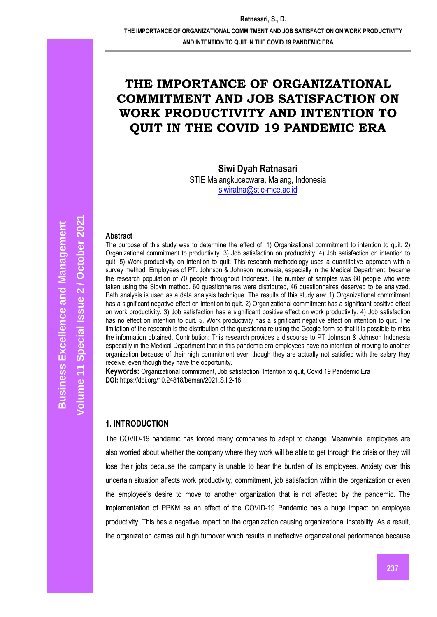# **THE IMPORTANCE OF ORGANIZATIONAL COMMITMENT AND JOB SATISFACTION ON WORK PRODUCTIVITY AND INTENTION TO QUIT IN THE COVID 19 PANDEMIC ERA**

**Siwi Dyah Ratnasari**

STIE Malangkucecwara, Malang, Indonesia [siwiratna@stie-mce.ac.id](mailto:siwiratna@stie-mce.ac.id)

#### **Abstract**

The purpose of this study was to determine the effect of: 1) Organizational commitment to intention to quit. 2) Organizational commitment to productivity. 3) Job satisfaction on productivity. 4) Job satisfaction on intention to quit. 5) Work productivity on intention to quit. This research methodology uses a quantitative approach with a survey method. Employees of PT. Johnson & Johnson Indonesia, especially in the Medical Department, became the research population of 70 people throughout Indonesia. The number of samples was 60 people who were taken using the Slovin method. 60 questionnaires were distributed, 46 questionnaires deserved to be analyzed. Path analysis is used as a data analysis technique. The results of this study are: 1) Organizational commitment has a significant negative effect on intention to quit. 2) Organizational commitment has a significant positive effect on work productivity. 3) Job satisfaction has a significant positive effect on work productivity. 4) Job satisfaction has no effect on intention to quit. 5. Work productivity has a significant negative effect on intention to quit. The limitation of the research is the distribution of the questionnaire using the Google form so that it is possible to miss the information obtained. Contribution: This research provides a discourse to PT Johnson & Johnson Indonesia especially in the Medical Department that in this pandemic era employees have no intention of moving to another organization because of their high commitment even though they are actually not satisfied with the salary they receive, even though they have the opportunity.

**Keywords:** Organizational commitment, Job satisfaction, Intention to quit, Covid 19 Pandemic Era **DOI:** https://doi.org/10.24818/beman/2021.S.I.2-18

### **1. INTRODUCTION**

The COVID-19 pandemic has forced many companies to adapt to change. Meanwhile, employees are also worried about whether the company where they work will be able to get through the crisis or they will lose their jobs because the company is unable to bear the burden of its employees. Anxiety over this uncertain situation affects work productivity, commitment, job satisfaction within the organization or even the employee's desire to move to another organization that is not affected by the pandemic. The implementation of PPKM as an effect of the COVID-19 Pandemic has a huge impact on employee productivity. This has a negative impact on the organization causing organizational instability. As a result, the organization carries out high turnover which results in ineffective organizational performance because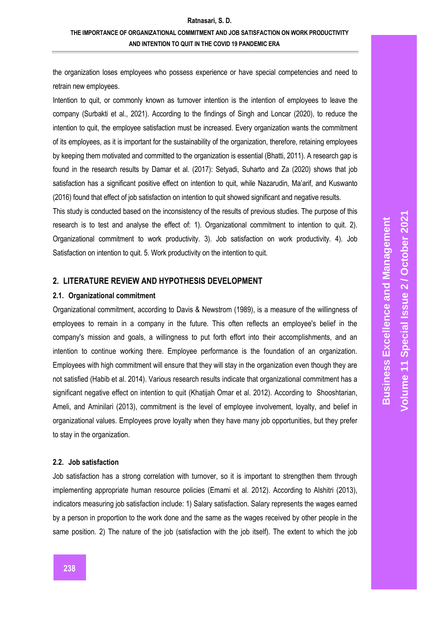# **THE IMPORTANCE OF ORGANIZATIONAL COMMITMENT AND JOB SATISFACTION ON WORK PRODUCTIVITY AND INTENTION TO QUIT IN THE COVID 19 PANDEMIC ERA**

the organization loses employees who possess experience or have special competencies and need to retrain new employees.

Intention to quit, or commonly known as turnover intention is the intention of employees to leave the company (Surbakti et al., 2021). According to the findings of Singh and Loncar (2020), to reduce the intention to quit, the employee satisfaction must be increased. Every organization wants the commitment of its employees, as it is important for the sustainability of the organization, therefore, retaining employees by keeping them motivated and committed to the organization is essential (Bhatti, 2011). A research gap is found in the research results by Damar et al. (2017): Setyadi, Suharto and Za (2020) shows that job satisfaction has a significant positive effect on intention to quit, while Nazarudin, Ma'arif, and Kuswanto (2016) found that effect of job satisfaction on intention to quit showed significant and negative results.

This study is conducted based on the inconsistency of the results of previous studies. The purpose of this research is to test and analyse the effect of: 1). Organizational commitment to intention to quit. 2). Organizational commitment to work productivity. 3). Job satisfaction on work productivity. 4). Job Satisfaction on intention to quit. 5. Work productivity on the intention to quit.

# **2. LITERATURE REVIEW AND HYPOTHESIS DEVELOPMENT**

#### **2.1. Organizational commitment**

Organizational commitment, according to Davis & Newstrom (1989), is a measure of the willingness of employees to remain in a company in the future. This often reflects an employee's belief in the company's mission and goals, a willingness to put forth effort into their accomplishments, and an intention to continue working there. Employee performance is the foundation of an organization. Employees with high commitment will ensure that they will stay in the organization even though they are not satisfied (Habib et al. 2014). Various research results indicate that organizational commitment has a significant negative effect on intention to quit (Khatijah Omar et al. 2012). According to Shooshtarian, Ameli, and Aminilari (2013), commitment is the level of employee involvement, loyalty, and belief in organizational values. Employees prove loyalty when they have many job opportunities, but they prefer to stay in the organization.

#### **2.2. Job satisfaction**

Job satisfaction has a strong correlation with turnover, so it is important to strengthen them through implementing appropriate human resource policies (Emami et al. 2012). According to Alshitri (2013), indicators measuring job satisfaction include: 1) Salary satisfaction. Salary represents the wages earned by a person in proportion to the work done and the same as the wages received by other people in the same position. 2) The nature of the job (satisfaction with the job itself). The extent to which the job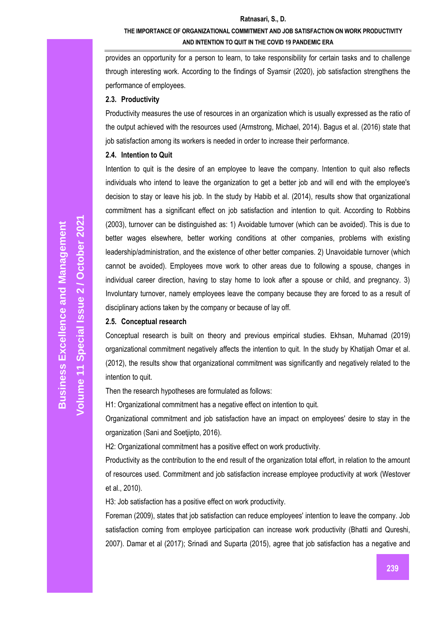# **THE IMPORTANCE OF ORGANIZATIONAL COMMITMENT AND JOB SATISFACTION ON WORK PRODUCTIVITY AND INTENTION TO QUIT IN THE COVID 19 PANDEMIC ERA**

provides an opportunity for a person to learn, to take responsibility for certain tasks and to challenge through interesting work. According to the findings of Syamsir (2020), job satisfaction strengthens the performance of employees.

#### **2.3. Productivity**

Productivity measures the use of resources in an organization which is usually expressed as the ratio of the output achieved with the resources used (Armstrong, Michael, 2014). Bagus et al. (2016) state that job satisfaction among its workers is needed in order to increase their performance.

#### **2.4. Intention to Quit**

Intention to quit is the desire of an employee to leave the company. Intention to quit also reflects individuals who intend to leave the organization to get a better job and will end with the employee's decision to stay or leave his job. In the study by Habib et al. (2014), results show that organizational commitment has a significant effect on job satisfaction and intention to quit. According to Robbins (2003), turnover can be distinguished as: 1) Avoidable turnover (which can be avoided). This is due to better wages elsewhere, better working conditions at other companies, problems with existing leadership/administration, and the existence of other better companies. 2) Unavoidable turnover (which cannot be avoided). Employees move work to other areas due to following a spouse, changes in individual career direction, having to stay home to look after a spouse or child, and pregnancy. 3) Involuntary turnover, namely employees leave the company because they are forced to as a result of disciplinary actions taken by the company or because of lay off.

#### **2.5. Conceptual research**

Conceptual research is built on theory and previous empirical studies. Ekhsan, Muhamad (2019) organizational commitment negatively affects the intention to quit. In the study by Khatijah Omar et al. (2012), the results show that organizational commitment was significantly and negatively related to the intention to quit.

Then the research hypotheses are formulated as follows:

H1: Organizational commitment has a negative effect on intention to quit.

Organizational commitment and job satisfaction have an impact on employees' desire to stay in the organization (Sani and Soetjipto, 2016).

H2: Organizational commitment has a positive effect on work productivity.

Productivity as the contribution to the end result of the organization total effort, in relation to the amount of resources used. Commitment and job satisfaction increase employee productivity at work (Westover et al., 2010).

H3: Job satisfaction has a positive effect on work productivity.

Foreman (2009), states that job satisfaction can reduce employees' intention to leave the company. Job satisfaction coming from employee participation can increase work productivity (Bhatti and Qureshi, 2007). Damar et al (2017); Srinadi and Suparta (2015), agree that job satisfaction has a negative and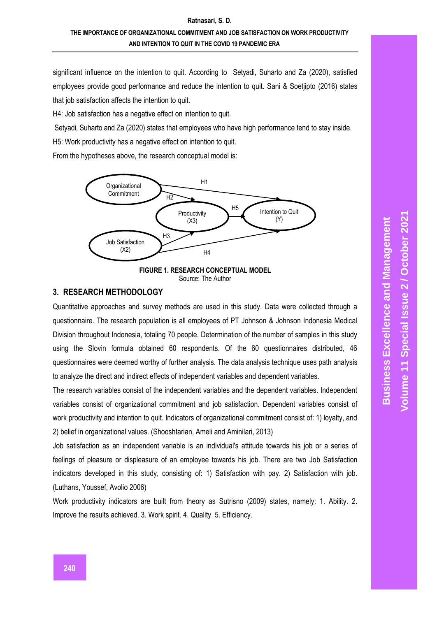# **THE IMPORTANCE OF ORGANIZATIONAL COMMITMENT AND JOB SATISFACTION ON WORK PRODUCTIVITY AND INTENTION TO QUIT IN THE COVID 19 PANDEMIC ERA**

significant influence on the intention to quit. According to Setyadi, Suharto and Za (2020), satisfied employees provide good performance and reduce the intention to quit. Sani & Soetjipto (2016) states that job satisfaction affects the intention to quit.

H4: Job satisfaction has a negative effect on intention to quit.

Setyadi, Suharto and Za (2020) states that employees who have high performance tend to stay inside.

H5: Work productivity has a negative effect on intention to quit.

From the hypotheses above, the research conceptual model is:



Source: The Author

### **3. RESEARCH METHODOLOGY**

Quantitative approaches and survey methods are used in this study. Data were collected through a questionnaire. The research population is all employees of PT Johnson & Johnson Indonesia Medical Division throughout Indonesia, totaling 70 people. Determination of the number of samples in this study using the Slovin formula obtained 60 respondents. Of the 60 questionnaires distributed, 46 questionnaires were deemed worthy of further analysis. The data analysis technique uses path analysis to analyze the direct and indirect effects of independent variables and dependent variables. IMPROVED THE TRIM CONDUCT THE TRIM CONCEPTUAL N<br>
IN THE TRIM Satisfaction<br>
IN TRIM SACK TRIM TRIM SOURCE THE Author<br>
Source: The Author<br>
2. RESEARCH METHODOLOGY<br>
Quantitative approaches and survey methods are used in this

The research variables consist of the independent variables and the dependent variables. Independent variables consist of organizational commitment and job satisfaction. Dependent variables consist of work productivity and intention to quit. Indicators of organizational commitment consist of: 1) loyalty, and 2) belief in organizational values. (Shooshtarian, Ameli and Aminilari, 2013)

Job satisfaction as an independent variable is an individual's attitude towards his job or a series of feelings of pleasure or displeasure of an employee towards his job. There are two Job Satisfaction indicators developed in this study, consisting of: 1) Satisfaction with pay. 2) Satisfaction with job. (Luthans, Youssef, Avolio 2006)

Work productivity indicators are built from theory as Sutrisno (2009) states, namely: 1. Ability. 2.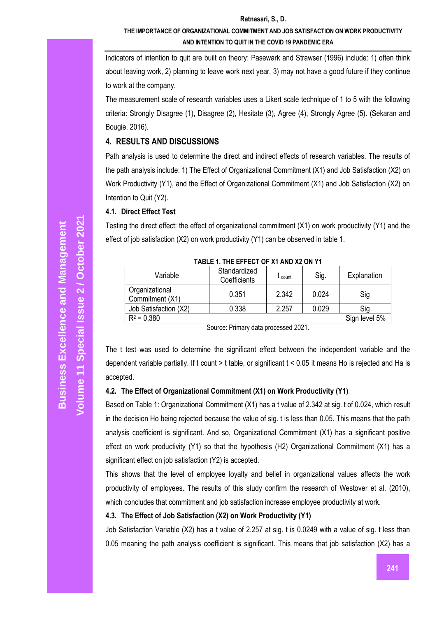### **THE IMPORTANCE OF ORGANIZATIONAL COMMITMENT AND JOB SATISFACTION ON WORK PRODUCTIVITY AND INTENTION TO QUIT IN THE COVID 19 PANDEMIC ERA**

Indicators of intention to quit are built on theory: Pasewark and Strawser (1996) include: 1) often think about leaving work, 2) planning to leave work next year, 3) may not have a good future if they continue to work at the company.

The measurement scale of research variables uses a Likert scale technique of 1 to 5 with the following criteria: Strongly Disagree (1), Disagree (2), Hesitate (3), Agree (4), Strongly Agree (5). (Sekaran and Bougie, 2016).

# **4. RESULTS AND DISCUSSIONS**

Path analysis is used to determine the direct and indirect effects of research variables. The results of the path analysis include: 1) The Effect of Organizational Commitment (X1) and Job Satisfaction (X2) on Work Productivity (Y1), and the Effect of Organizational Commitment (X1) and Job Satisfaction (X2) on Intention to Quit (Y2).

### **4.1. Direct Effect Test**

Testing the direct effect: the effect of organizational commitment (X1) on work productivity (Y1) and the effect of job satisfaction (X2) on work productivity (Y1) can be observed in table 1.

| Variable                          | Standardized<br>Coefficients | . count | Sig.  | Explanation   |  |  |  |  |
|-----------------------------------|------------------------------|---------|-------|---------------|--|--|--|--|
| Organizational<br>Commitment (X1) | 0.351                        | 2.342   | 0.024 | Sig           |  |  |  |  |
| Job Satisfaction (X2)             | 0.338                        | 2.257   | 0.029 | Sig           |  |  |  |  |
| $R^2 = 0.380$                     |                              |         |       | Sign level 5% |  |  |  |  |

**TABLE 1. THE EFFECT OF X1 AND X2 ON Y1**

Source: Primary data processed 2021.

The t test was used to determine the significant effect between the independent variable and the dependent variable partially. If t count > t table, or significant t < 0.05 it means Ho is rejected and Ha is accepted.

# **4.2. The Effect of Organizational Commitment (X1) on Work Productivity (Y1)**

Based on Table 1: Organizational Commitment (X1) has a t value of 2.342 at sig. t of 0.024, which result in the decision Ho being rejected because the value of sig. t is less than 0.05. This means that the path analysis coefficient is significant. And so, Organizational Commitment (X1) has a significant positive effect on work productivity (Y1) so that the hypothesis (H2) Organizational Commitment (X1) has a significant effect on job satisfaction (Y2) is accepted.

This shows that the level of employee loyalty and belief in organizational values affects the work productivity of employees. The results of this study confirm the research of Westover et al. (2010), which concludes that commitment and job satisfaction increase employee productivity at work.

### **4.3. The Effect of Job Satisfaction (X2) on Work Productivity (Y1)**

Job Satisfaction Variable (X2) has a t value of 2.257 at sig. t is 0.0249 with a value of sig. t less than 0.05 meaning the path analysis coefficient is significant. This means that job satisfaction (X2) has a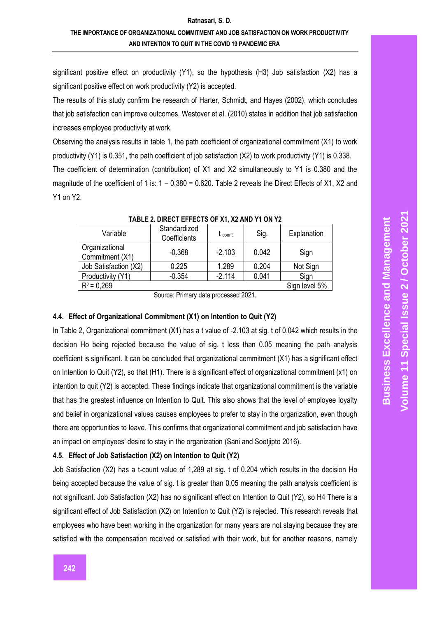### **THE IMPORTANCE OF ORGANIZATIONAL COMMITMENT AND JOB SATISFACTION ON WORK PRODUCTIVITY AND INTENTION TO QUIT IN THE COVID 19 PANDEMIC ERA**

significant positive effect on productivity (Y1), so the hypothesis (H3) Job satisfaction (X2) has a significant positive effect on work productivity (Y2) is accepted.

The results of this study confirm the research of Harter, Schmidt, and Hayes (2002), which concludes that job satisfaction can improve outcomes. Westover et al. (2010) states in addition that job satisfaction increases employee productivity at work.

Observing the analysis results in table 1, the path coefficient of organizational commitment (X1) to work productivity (Y1) is 0.351, the path coefficient of job satisfaction (X2) to work productivity (Y1) is 0.338.

The coefficient of determination (contribution) of X1 and X2 simultaneously to Y1 is 0.380 and the magnitude of the coefficient of 1 is: 1 – 0.380 = 0.620. Table 2 reveals the Direct Effects of X1, X2 and Y1 on Y2.

| <u>IABLE Z. DINEGI EFFEGIO OF AI, AZ AND I I ON IZ</u> |                              |                    |       |               |  |  |  |
|--------------------------------------------------------|------------------------------|--------------------|-------|---------------|--|--|--|
| Variable                                               | Standardized<br>Coefficients | $t_{\text{count}}$ | Sig.  | Explanation   |  |  |  |
| Organizational<br>Commitment (X1)                      | $-0.368$                     | $-2.103$           | 0.042 | Sign          |  |  |  |
| Job Satisfaction (X2)                                  | 0.225                        | 1.289              | 0.204 | Not Sign      |  |  |  |
| Productivity (Y1)                                      | $-0.354$                     | $-2.114$           | 0.041 | Sign          |  |  |  |
| $R^2 = 0.269$                                          |                              |                    |       | Sign level 5% |  |  |  |
| 1.0001<br>$\sim$ $\sim$                                |                              |                    |       |               |  |  |  |

**TABLE 2. DIRECT EFFECTS OF X1, X2 AND Y1 ON Y2**

### **4.4. Effect of Organizational Commitment (X1) on Intention to Quit (Y2)**

In Table 2, Organizational commitment (X1) has a t value of -2.103 at sig. t of 0.042 which results in the decision Ho being rejected because the value of sig. t less than 0.05 meaning the path analysis coefficient is significant. It can be concluded that organizational commitment (X1) has a significant effect on Intention to Quit (Y2), so that (H1). There is a significant effect of organizational commitment (x1) on intention to quit (Y2) is accepted. These findings indicate that organizational commitment is the variable that has the greatest influence on Intention to Quit. This also shows that the level of employee loyalty and belief in organizational values causes employees to prefer to stay in the organization, even though there are opportunities to leave. This confirms that organizational commitment and job satisfaction have an impact on employees' desire to stay in the organization (Sani and Soetjipto 2016).

### **4.5. Effect of Job Satisfaction (X2) on Intention to Quit (Y2)**

Job Satisfaction (X2) has a t -count value of 1,289 at sig. t of 0.204 which results in the decision Ho being accepted because the value of sig. t is greater than 0.05 meaning the path analysis coefficient is not significant. Job Satisfaction (X2) has no significant effect on Intention to Quit (Y2), so H4 There is a significant effect of Job Satisfaction (X2) on Intention to Quit (Y2) is rejected. This research reveals that employees who have been working in the organization for many years are not staying because they are satisfied with the compensation received or satisfied with their work, but for another reasons, namely

Source: Primary data processed 2021.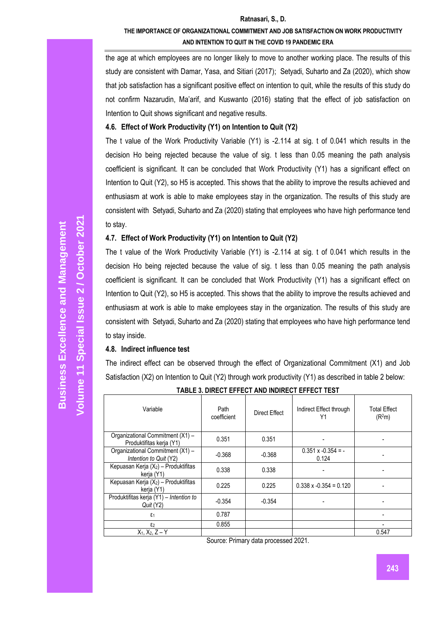# **THE IMPORTANCE OF ORGANIZATIONAL COMMITMENT AND JOB SATISFACTION ON WORK PRODUCTIVITY AND INTENTION TO QUIT IN THE COVID 19 PANDEMIC ERA**

the age at which employees are no longer likely to move to another working place. The results of this study are consistent with Damar, Yasa, and Sitiari (2017); Setyadi, Suharto and Za (2020), which show that job satisfaction has a significant positive effect on intention to quit, while the results of this study do not confirm Nazarudin, Ma'arif, and Kuswanto (2016) stating that the effect of job satisfaction on Intention to Quit shows significant and negative results.

### **4.6. Effect of Work Productivity (Y1) on Intention to Quit (Y2)**

The t value of the Work Productivity Variable (Y1) is -2.114 at sig. t of 0.041 which results in the decision Ho being rejected because the value of sig. t less than 0.05 meaning the path analysis coefficient is significant. It can be concluded that Work Productivity (Y1) has a significant effect on Intention to Quit (Y2), so H5 is accepted. This shows that the ability to improve the results achieved and enthusiasm at work is able to make employees stay in the organization. The results of this study are consistent with Setyadi, Suharto and Za (2020) stating that employees who have high performance tend to stay.

### **4.7. Effect of Work Productivity (Y1) on Intention to Quit (Y2)**

The t value of the Work Productivity Variable (Y1) is -2.114 at sig. t of 0.041 which results in the decision Ho being rejected because the value of sig. t less than 0.05 meaning the path analysis coefficient is significant. It can be concluded that Work Productivity (Y1) has a significant effect on Intention to Quit (Y2), so H5 is accepted. This shows that the ability to improve the results achieved and enthusiasm at work is able to make employees stay in the organization. The results of this study are consistent with Setyadi, Suharto and Za (2020) stating that employees who have high performance tend to stay inside.

### **4.8. Indirect influence test**

The indirect effect can be observed through the effect of Organizational Commitment (X1) and Job Satisfaction (X2) on Intention to Quit (Y2) through work productivity (Y1) as described in table 2 below:

| Variable                                                     | Path<br>coefficient | Direct Effect | Indirect Effect through<br>Υ1      | Total Effect<br>(R <sup>2</sup> m) |
|--------------------------------------------------------------|---------------------|---------------|------------------------------------|------------------------------------|
| Organizational Commitment (X1) -<br>Produktifitas kerja (Y1) | 0.351               | 0.351         |                                    |                                    |
| Organizational Commitment (X1) -<br>Intention to Quit (Y2)   | $-0.368$            | $-0.368$      | $0.351 \times -0.354 = -$<br>0.124 |                                    |
| Kepuasan Kerja $(X_2)$ – Produktifitas<br>kerja (Y1)         | 0.338               | 0.338         |                                    |                                    |
| Kepuasan Kerja $(X_2)$ – Produktifitas<br>kerja (Y1)         | 0.225               | 0.225         | $0.338 \times -0.354 = 0.120$      |                                    |
| Produktifitas kerja (Y1) - Intention to<br>Quit (Y2)         | $-0.354$            | $-0.354$      |                                    |                                    |
| $\epsilon_1$                                                 | 0.787               |               |                                    |                                    |
| $\epsilon_2$                                                 | 0.855               |               |                                    |                                    |
| $X_1, X_2, Z - Y$                                            |                     |               |                                    | 0.547                              |

**TABLE 3. DIRECT EFFECT AND INDIRECT EFFECT TEST**

Source: Primary data processed 2021.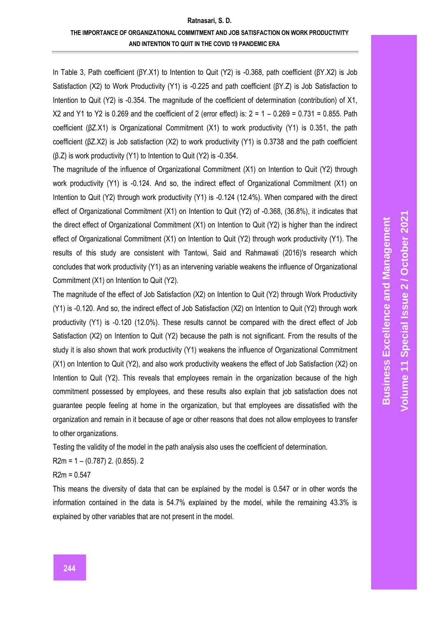In Table 3, Path coefficient (βY.X1) to Intention to Quit (Y2) is -0.368, path coefficient (βY.X2) is Job Satisfaction (X2) to Work Productivity (Y1) is -0.225 and path coefficient (βY.Z) is Job Satisfaction to Intention to Quit (Y2) is -0.354. The magnitude of the coefficient of determination (contribution) of X1, X2 and Y1 to Y2 is 0.269 and the coefficient of 2 (error effect) is: 2 = 1 – 0.269 = 0.731 = 0.855. Path coefficient (βZ.X1) is Organizational Commitment (X1) to work productivity (Y1) is 0.351, the path coefficient (βZ.X2) is Job satisfaction (X2) to work productivity (Y1) is 0.3738 and the path coefficient (β.Z) is work productivity (Y1) to Intention to Quit (Y2) is -0.354.

The magnitude of the influence of Organizational Commitment (X1) on Intention to Quit (Y2) through work productivity (Y1) is -0.124. And so, the indirect effect of Organizational Commitment (X1) on Intention to Quit (Y2) through work productivity (Y1) is -0.124 (12.4%). When compared with the direct effect of Organizational Commitment (X1) on Intention to Quit (Y2) of -0.368, (36.8%), it indicates that the direct effect of Organizational Commitment (X1) on Intention to Quit (Y2) is higher than the indirect effect of Organizational Commitment (X1) on Intention to Quit (Y2) through work productivity (Y1). The results of this study are consistent with Tantowi, Said and Rahmawati (2016)'s research which concludes that work productivity (Y1) as an intervening variable weakens the influence of Organizational Commitment (X1) on Intention to Quit (Y2).

The magnitude of the effect of Job Satisfaction (X2) on Intention to Quit (Y2) through Work Productivity (Y1) is -0.120. And so, the indirect effect of Job Satisfaction (X2) on Intention to Quit (Y2) through work productivity (Y1) is -0.120 (12.0%). These results cannot be compared with the direct effect of Job Satisfaction (X2) on Intention to Quit (Y2) because the path is not significant. From the results of the study it is also shown that work productivity (Y1) weakens the influence of Organizational Commitment (X1) on Intention to Quit (Y2), and also work productivity weakens the effect of Job Satisfaction (X2) on Intention to Quit (Y2). This reveals that employees remain in the organization because of the high commitment possessed by employees, and these results also explain that job satisfaction does not guarantee people feeling at home in the organization, but that employees are dissatisfied with the organization and remain in it because of age or other reasons that does not allow employees to transfer to other organizations.

Testing the validity of the model in the path analysis also uses the coefficient of determination.

R2m = 1 – (0.787) 2. (0.855). 2

 $R2m = 0.547$ 

This means the diversity of data that can be explained by the model is 0.547 or in other words the information contained in the data is 54.7% explained by the model, while the remaining 43.3% is explained by other variables that are not present in the model.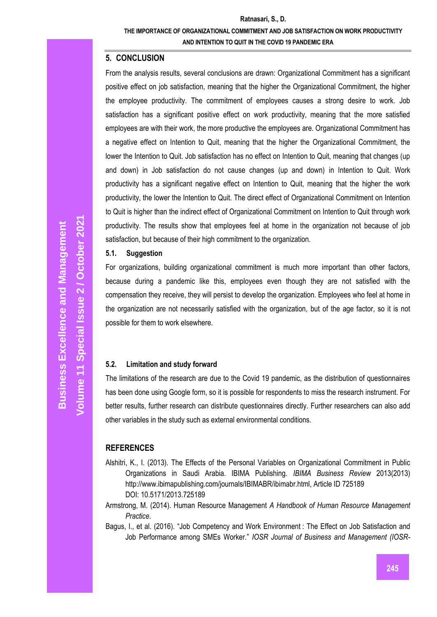# **THE IMPORTANCE OF ORGANIZATIONAL COMMITMENT AND JOB SATISFACTION ON WORK PRODUCTIVITY AND INTENTION TO QUIT IN THE COVID 19 PANDEMIC ERA**

# **5. CONCLUSION**

From the analysis results, several conclusions are drawn: Organizational Commitment has a significant positive effect on job satisfaction, meaning that the higher the Organizational Commitment, the higher the employee productivity. The commitment of employees causes a strong desire to work. Job satisfaction has a significant positive effect on work productivity, meaning that the more satisfied employees are with their work, the more productive the employees are. Organizational Commitment has a negative effect on Intention to Quit, meaning that the higher the Organizational Commitment, the lower the Intention to Quit. Job satisfaction has no effect on Intention to Quit, meaning that changes (up and down) in Job satisfaction do not cause changes (up and down) in Intention to Quit. Work productivity has a significant negative effect on Intention to Quit, meaning that the higher the work productivity, the lower the Intention to Quit. The direct effect of Organizational Commitment on Intention to Quit is higher than the indirect effect of Organizational Commitment on Intention to Quit through work productivity. The results show that employees feel at home in the organization not because of job satisfaction, but because of their high commitment to the organization.

# **5.1. Suggestion**

For organizations, building organizational commitment is much more important than other factors, because during a pandemic like this, employees even though they are not satisfied with the compensation they receive, they will persist to develop the organization. Employees who feel at home in the organization are not necessarily satisfied with the organization, but of the age factor, so it is not possible for them to work elsewhere.

# **5.2. Limitation and study forward**

The limitations of the research are due to the Covid 19 pandemic, as the distribution of questionnaires has been done using Google form, so it is possible for respondents to miss the research instrument. For better results, further research can distribute questionnaires directly. Further researchers can also add other variables in the study such as external environmental conditions.

# **REFERENCES**

- Alshitri, K., I. (2013). The Effects of the Personal Variables on Organizational Commitment in Public Organizations in Saudi Arabia. IBIMA Publishing. *IBIMA Business Review* 2013(2013) http://www.ibimapublishing.com/journals/IBIMABR/ibimabr.html, Article ID 725189 DOI: 10.5171/2013.725189
- Armstrong, M. (2014). Human Resource Management *A Handbook of Human Resource Management Practice*.
- Bagus, I., et al. (2016). "Job Competency and Work Environment : The Effect on Job Satisfaction and Job Performance among SMEs Worker." *IOSR Journal of Business and Management (IOSR-*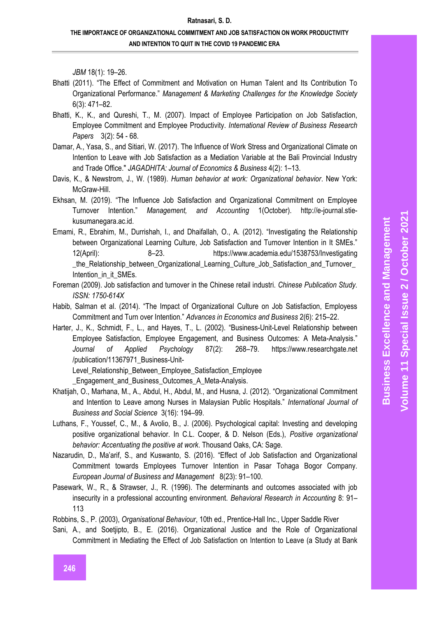**Business Excellence and Management** 

#### **Ratnasari, S. D.**

### **THE IMPORTANCE OF ORGANIZATIONAL COMMITMENT AND JOB SATISFACTION ON WORK PRODUCTIVITY AND INTENTION TO QUIT IN THE COVID 19 PANDEMIC ERA**

*JBM* 18(1): 19 –26.

- Bhatti (2011). "The Effect of Commitment and Motivation on Human Talent and Its Contribution To Organizational Performance." *Management & Marketing Challenges for the Knowledge Society* 6(3): 471 –82.
- Bhatti, K., K., and Qureshi, T., M. (2007). Impact of Employee Participation on Job Satisfaction, Employee Commitment and Employee Productivity. *International Review of Business Research Papers* 3(2): 54 - 68.
- Damar, A., Yasa, S., and Sitiari, W. (2017). The Influence of Work Stress and Organizational Climate on Intention to Leave with Job Satisfaction as a Mediation Variable at the Bali Provincial Industry and Trade Office." *JAGADHITA: Journal of Economics & Business* 4(2): 1 –13.
- Davis, K., & Newstrom, J., W. (1989). *Human behavior at work: Organizational behavior*. New York: McGraw-Hill.
- Ekhsan, M. (2019). "The Influence Job Satisfaction and Organizational Commitment on Employee Turnover Intention." *Management, and Accounting* 1(October). http://e -journal.stie kusumanegara.ac.id.
- Emami, R., Ebrahim, M., Durrishah, I., and Dhaifallah, O., A. (2012). "Investigating the Relationship between Organizational Learning Culture, Job Satisfaction and Turnover Intention in It SMEs." 12(April): 8 –23. https://www.academia.edu/1538753/Investigating the Relationship\_between\_Organizational\_Learning\_Culture\_Job\_Satisfaction\_and\_Turnover Intention\_in\_it\_SMEs.
- Foreman (2009). Job satisfaction and turnover in the Chinese retail industri. *Chinese Publication Study. ISSN: 1750 -614X*
- Habib, Salman et al. (2014). "The Impact of Organizational Culture on Job Satisfaction, Employess Commitment and Turn over Intention." *Advances in Economics and Business* 2(6): 215 –22.
- Harter, J., K., Schmidt, F., L., and Hayes, T., L. (2002). "Business -Unit -Level Relationship between Employee Satisfaction, Employee Engagement, and Business Outcomes: A Meta -Analysis." *Journal of Applied Psychology* 87(2): 268 https://www.researchgate.net /publication/11367971\_Business-Unit-Level Relationship Between Employee Satisfaction Employee

\_Engagement\_and\_Business\_Outcomes\_A\_Meta -Analysis.

- Khatijah, O., Marhana, M., A., Abdul, H., Abdul, M., and Husna, J. (2012). "Organizational Commitment and Intention to Leave among Nurses in Malaysian Public Hospitals." *International Journal of Business and Social Science* 3(16): 194 –99.
- Luthans, F., Youssef, C., M., & Avolio, B., J. (2006). Psychological capital: Investing and developing positive organizational behavior. In C.L. Cooper, & D. Nelson (Eds.), *Positive organizational behavior: Accentuating the positive at work*. Thousand Oaks, CA: Sage.
- Nazarudin, D., Ma'arif, S., and Kuswanto, S. (2016). "Effect of Job Satisfaction and Organizational Commitment towards Employees Turnover Intention in Pasar Tohaga Bogor Company. *European Journal of Business and Management* 8(23): 91 –100.
- Pasewark, W., R., & Strawser, J., R. (1996). The determinants and outcomes associated with job insecurity in a professional accounting environment. *Behavioral Research in Accounting* 8: 91 – 113

Robbins, S., P. (2003), *Organisational Behaviour*, 10th ed., Prentice -Hall Inc., Upper Saddle River

Sani, A., and Soetjipto, B., E. (2016). Organizational Justice and the Role of Organizational Commitment in Mediating the Effect of Job Satisfaction on Intention to Leave (a Study at Bank